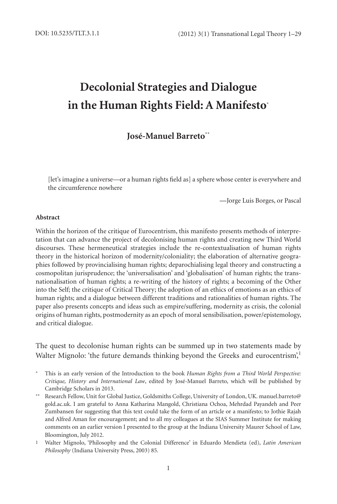# **Decolonial Strategies and Dialogue in the Human Rights Field: A Manifesto**\*

# **José-Manuel Barreto**\*\*

[let's imagine a universe—or a human rights field as] a sphere whose center is everywhere and the circumference nowhere

**—**Jorge Luis Borges, or Pascal

#### **Abstract**

Within the horizon of the critique of Eurocentrism, this manifesto presents methods of interpretation that can advance the project of decolonising human rights and creating new Third World discourses. These hermeneutical strategies include the re-contextualisation of human rights theory in the historical horizon of modernity/coloniality; the elaboration of alternative geographies followed by provincialising human rights; deparochialising legal theory and constructing a cosmopolitan jurisprudence; the 'universalisation' and 'globalisation' of human rights; the transnationalisation of human rights; a re-writing of the history of rights; a becoming of the Other into the Self; the critique of Critical Theory; the adoption of an ethics of emotions as an ethics of human rights; and a dialogue between different traditions and rationalities of human rights. The paper also presents concepts and ideas such as empire/suffering, modernity as crisis, the colonial origins of human rights, postmodernity as an epoch of moral sensibilisation, power/epistemology, and critical dialogue.

The quest to decolonise human rights can be summed up in two statements made by Walter Mignolo: 'the future demands thinking beyond the Greeks and eurocentrism',<sup>1</sup>

- \* This is an early version of the Introduction to the book *Human Rights from a Third World Perspective: Critique, History and International Law*, edited by José-Manuel Barreto, which will be published by Cambridge Scholars in 2013.
- \*\* Research Fellow, Unit for Global Justice, Goldsmiths College, University of London, UK. manuel.barreto@ gold.ac.uk. I am grateful to Anna Katharina Mangold, Christiana Ochoa, Mehrdad Payandeh and Peer Zumbansen for suggesting that this text could take the form of an article or a manifesto; to Jothie Rajah and Alfred Aman for encouragement; and to all my colleagues at the SIAS Summer Institute for making comments on an earlier version I presented to the group at the Indiana University Maurer School of Law, Bloomington, July 2012.
- 1 Walter Mignolo, 'Philosophy and the Colonial Difference' in Eduardo Mendieta (ed), *Latin American Philosophy* (Indiana University Press, 2003) 85.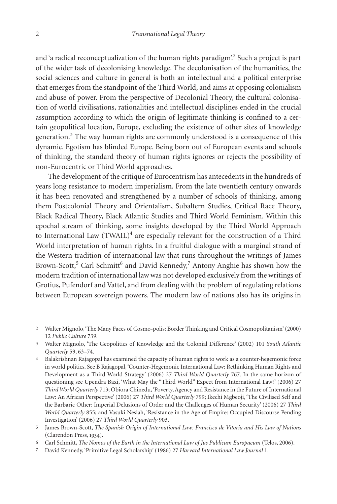and 'a radical reconceptualization of the human rights paradigm'.<sup>2</sup> Such a project is part of the wider task of decolonising knowledge. The decolonisation of the humanities, the social sciences and culture in general is both an intellectual and a political enterprise that emerges from the standpoint of the Third World, and aims at opposing colonialism and abuse of power. From the perspective of Decolonial Theory, the cultural colonisation of world civilisations, rationalities and intellectual disciplines ended in the crucial assumption according to which the origin of legitimate thinking is confined to a certain geopolitical location, Europe, excluding the existence of other sites of knowledge generation.<sup>3</sup> The way human rights are commonly understood is a consequence of this dynamic. Egotism has blinded Europe. Being born out of European events and schools of thinking, the standard theory of human rights ignores or rejects the possibility of non-Eurocentric or Third World approaches.

The development of the critique of Eurocentrism has antecedents in the hundreds of years long resistance to modern imperialism. From the late twentieth century onwards it has been renovated and strengthened by a number of schools of thinking, among them Postcolonial Theory and Orientalism, Subaltern Studies, Critical Race Theory, Black Radical Theory, Black Atlantic Studies and Third World Feminism. Within this epochal stream of thinking, some insights developed by the Third World Approach to International Law (TWAIL)<sup>4</sup> are especially relevant for the construction of a Third World interpretation of human rights. In a fruitful dialogue with a marginal strand of the Western tradition of international law that runs throughout the writings of James Brown-Scott,<sup>5</sup> Carl Schmitt<sup>6</sup> and David Kennedy,<sup>7</sup> Antony Anghie has shown how the modern tradition of international law was not developed exclusively from the writings of Grotius, Pufendorf and Vattel, and from dealing with the problem of regulating relations between European sovereign powers. The modern law of nations also has its origins in

- 2 Walter Mignolo, 'The Many Faces of Cosmo-polis: Border Thinking and Critical Cosmopolitanism' (2000) 12 *Public Culture* 739.
- 3 Walter Mignolo, 'The Geopolitics of Knowledge and the Colonial Difference' (2002) 101 *South Atlantic Quarterly* 59, 63–74.
- 4 Balakrishnan Rajagopal has examined the capacity of human rights to work as a counter-hegemonic force in world politics. See B Rajagopal, 'Counter-Hegemonic International Law: Rethinking Human Rights and Development as a Third World Strategy' (2006) 27 *Third World Quarterly* 767. In the same horizon of questioning see Upendra Baxi, 'What May the "Third World" Expect from International Law?' (2006) 27 *Third World Quarterly* 713; Obiora Chinedu, 'Poverty, Agency and Resistance in the Future of International Law: An African Perspective' (2006) 27 *Third World Quarterly* 799; Ikechi Mgbeoji, 'The Civilised Self and the Barbaric Other: Imperial Delusions of Order and the Challenges of Human Security' (2006) 27 *Third World Quarterly* 855; and Vasuki Nesiah, 'Resistance in the Age of Empire: Occupied Discourse Pending Investigation' (2006) 27 *Third World Quarterly* 903.
- 5 James Brown-Scott, *The Spanish Origin of International Law: Francisco de Vitoria and His Law of Nations* (Clarendon Press, 1934).
- 6 Carl Schmitt, *The Nomos of the Earth in the International Law of Jus Publicum Europaeum* (Telos, 2006).
- 7 David Kennedy, 'Primitive Legal Scholarship' (1986) 27 *Harvard International Law Journal* 1.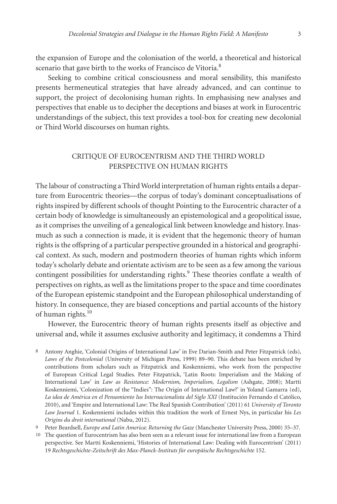the expansion of Europe and the colonisation of the world, a theoretical and historical scenario that gave birth to the works of Francisco de Vitoria.<sup>8</sup>

Seeking to combine critical consciousness and moral sensibility, this manifesto presents hermeneutical strategies that have already advanced, and can continue to support, the project of decolonising human rights. In emphasising new analyses and perspectives that enable us to decipher the deceptions and biases at work in Eurocentric understandings of the subject, this text provides a tool-box for creating new decolonial or Third World discourses on human rights.

## CRITIQUE OF EUROCENTRISM AND THE THIRD WORLD PERSPECTIVE ON HUMAN RIGHTS

The labour of constructing a Third World interpretation of human rights entails a departure from Eurocentric theories—the corpus of today's dominant conceptualisations of rights inspired by different schools of thought Pointing to the Eurocentric character of a certain body of knowledge is simultaneously an epistemological and a geopolitical issue, as it comprises the unveiling of a genealogical link between knowledge and history. Inasmuch as such a connection is made, it is evident that the hegemonic theory of human rights is the offspring of a particular perspective grounded in a historical and geographical context. As such, modern and postmodern theories of human rights which inform today's scholarly debate and orientate activism are to be seen as a few among the various contingent possibilities for understanding rights.<sup>9</sup> These theories conflate a wealth of perspectives on rights, as well as the limitations proper to the space and time coordinates of the European epistemic standpoint and the European philosophical understanding of history. In consequence, they are biased conceptions and partial accounts of the history of human rights.<sup>10</sup>

However, the Eurocentric theory of human rights presents itself as objective and universal and, while it assumes exclusive authority and legitimacy, it condemns a Third

8 Antony Anghie, 'Colonial Origins of International Law' in Eve Darian-Smith and Peter Fitzpatrick (eds), *Laws of the Postcolonial* (University of Michigan Press, 1999) 89–90. This debate has been enriched by contributions from scholars such as Fitzpatrick and Koskenniemi, who work from the perspective of European Critical Legal Studies. Peter Fitzpatrick, 'Latin Roots: Imperialism and the Making of International Law' in *Law as Resistance: Modernism, Imperialism, Legalism* (Ashgate, 2008); Martti Koskenniemi, 'Colonization of the "Indies": The Origin of International Law?' in Yoland Gamarra (ed), La idea de América en el Pensamiento Ius Internacionalista del Siglo XXI (Institución Fernando el Católico, 2010), and 'Empire and International Law: The Real Spanish Contribution' (2011) 61 *University of Toronto Law Journal* 1. Koskenniemi includes within this tradition the work of Ernest Nys, in particular his *Les Origins du droit international* (Nabu, 2012).

- 9 Peter Beardsell, *Europe and Latin America: Returning the Gaze* (Manchester University Press, 2000) 35–37.
- 10 The question of Eurocentrism has also been seen as a relevant issue for international law from a European perspective. See Martti Koskenniemi, 'Histories of International Law: Dealing with Eurocentrism' (2011) 19 *Rechtsgeschichte-Zeitschrift des Max-Planck-Instituts für europäische Rechtsgeschichte* 152.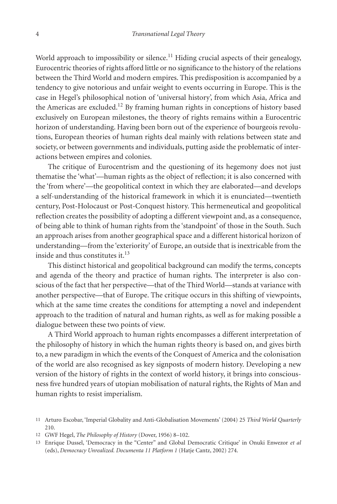World approach to impossibility or silence.<sup>11</sup> Hiding crucial aspects of their genealogy, Eurocentric theories of rights afford little or no significance to the history of the relations between the Third World and modern empires. This predisposition is accompanied by a tendency to give notorious and unfair weight to events occurring in Europe. This is the case in Hegel's philosophical notion of 'universal history', from which Asia, Africa and the Americas are excluded.12 By framing human rights in conceptions of history based exclusively on European milestones, the theory of rights remains within a Eurocentric horizon of understanding. Having been born out of the experience of bourgeois revolutions, European theories of human rights deal mainly with relations between state and society, or between governments and individuals, putting aside the problematic of interactions between empires and colonies.

The critique of Eurocentrism and the questioning of its hegemony does not just thematise the 'what'—human rights as the object of reflection; it is also concerned with the 'from where'—the geopolitical context in which they are elaborated—and develops a self-understanding of the historical framework in which it is enunciated—twentieth century, Post-Holocaust or Post-Conquest history. This hermeneutical and geopolitical reflection creates the possibility of adopting a different viewpoint and, as a consequence, of being able to think of human rights from the 'standpoint' of those in the South. Such an approach arises from another geographical space and a different historical horizon of understanding—from the 'exteriority' of Europe, an outside that is inextricable from the inside and thus constitutes it. $^{13}$ 

This distinct historical and geopolitical background can modify the terms, concepts and agenda of the theory and practice of human rights. The interpreter is also conscious of the fact that her perspective—that of the Third World—stands at variance with another perspective—that of Europe. The critique occurs in this shifting of viewpoints, which at the same time creates the conditions for attempting a novel and independent approach to the tradition of natural and human rights, as well as for making possible a dialogue between these two points of view.

A Third World approach to human rights encompasses a different interpretation of the philosophy of history in which the human rights theory is based on, and gives birth to, a new paradigm in which the events of the Conquest of America and the colonisation of the world are also recognised as key signposts of modern history. Developing a new version of the history of rights in the context of world history, it brings into consciousness five hundred years of utopian mobilisation of natural rights, the Rights of Man and human rights to resist imperialism.

<sup>11</sup> Arturo Escobar, 'Imperial Globality and Anti-Globalisation Movements' (2004) 25 *Third World Quarterly* 210.

<sup>12</sup> GWF Hegel, *The Philosophy of History* (Dover, 1956) 8–102.

<sup>13</sup> Enrique Dussel, 'Democracy in the "Center" and Global Democratic Critique' in Onuki Enwezor *et al*  (eds), *Democracy Unrealized. Documenta 11 Platform 1* (Hatje Cantz, 2002) 274.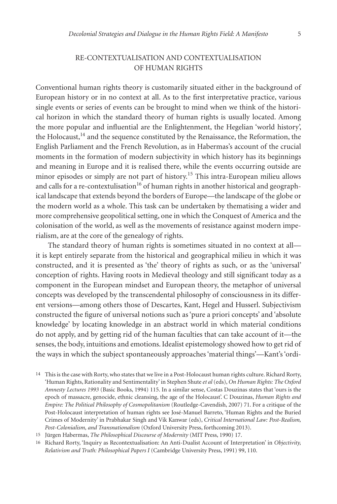# RE-CONTEXTUALISATION AND CONTEXTUALISATION OF HUMAN RIGHTS

Conventional human rights theory is customarily situated either in the background of European history or in no context at all. As to the first interpretative practice, various single events or series of events can be brought to mind when we think of the historical horizon in which the standard theory of human rights is usually located. Among the more popular and influential are the Enlightenment, the Hegelian 'world history', the Holocaust,14 and the sequence constituted by the Renaissance, the Reformation, the English Parliament and the French Revolution, as in Habermas's account of the crucial moments in the formation of modern subjectivity in which history has its beginnings and meaning in Europe and it is realised there, while the events occurring outside are minor episodes or simply are not part of history.<sup>15</sup> This intra-European milieu allows and calls for a re-contextulisation<sup>16</sup> of human rights in another historical and geographical landscape that extends beyond the borders of Europe—the landscape of the globe or the modern world as a whole. This task can be undertaken by thematising a wider and more comprehensive geopolitical setting, one in which the Conquest of America and the colonisation of the world, as well as the movements of resistance against modern imperialism, are at the core of the genealogy of rights.

The standard theory of human rights is sometimes situated in no context at all it is kept entirely separate from the historical and geographical milieu in which it was constructed, and it is presented as 'the' theory of rights as such, or as the 'universal' conception of rights. Having roots in Medieval theology and still significant today as a component in the European mindset and European theory, the metaphor of universal concepts was developed by the transcendental philosophy of consciousness in its different versions—among others those of Descartes, Kant, Hegel and Husserl. Subjectivism constructed the figure of universal notions such as 'pure a priori concepts' and 'absolute knowledge' by locating knowledge in an abstract world in which material conditions do not apply, and by getting rid of the human faculties that can take account of it—the senses, the body, intuitions and emotions. Idealist epistemology showed how to get rid of the ways in which the subject spontaneously approaches 'material things'—Kant's 'ordi-

- 14 This is the case with Rorty, who states that we live in a Post-Holocaust human rights culture. Richard Rorty, 'Human Rights, Rationality and Sentimentality' in Stephen Shute *et al* (eds), *On Human Rights: The Oxford Amnesty Lectures 1993* (Basic Books, 1994) 115. In a similar sense, Costas Douzinas states that 'ours is the epoch of massacre, genocide, ethnic cleansing, the age of the Holocaust'. C Douzinas, *Human Rights and Empire: The Political Philosophy of Cosmopolitanism* (Routledge-Cavendish, 2007) 71. For a critique of the Post-Holocaust interpretation of human rights see José-Manuel Barreto, 'Human Rights and the Buried Crimes of Modernity' in Prabhakar Singh and Vik Kanwar (eds), *Critical International Law: Post-Realism, Post-Colonialism, and Transnationalism* (Oxford University Press, forthcoming 2013).
- 15 Jürgen Habermas, *The Philosophical Discourse of Modernity* (MIT Press, 1990) 17.
- 16 Richard Rorty, 'Inquiry as Recontextualisation: An Anti-Dualist Account of Interpretation' in *Objectivity, Relativism and Truth: Philosophical Papers I* (Cambridge University Press, 1991) 99, 110.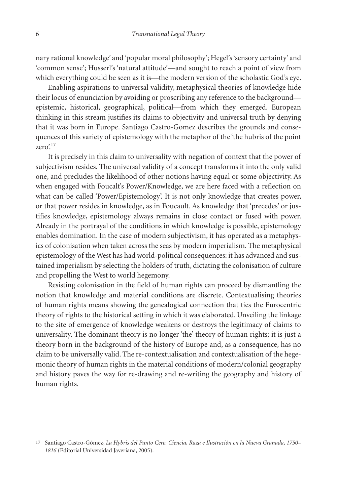nary rational knowledge' and 'popular moral philosophy'; Hegel's 'sensory certainty' and 'common sense'; Husserl's 'natural attitude'—and sought to reach a point of view from which everything could be seen as it is—the modern version of the scholastic God's eye.

Enabling aspirations to universal validity, metaphysical theories of knowledge hide their locus of enunciation by avoiding or proscribing any reference to the background epistemic, historical, geographical, political—from which they emerged. European thinking in this stream justifies its claims to objectivity and universal truth by denying that it was born in Europe. Santiago Castro-Gomez describes the grounds and consequences of this variety of epistemology with the metaphor of the 'the hubris of the point  $zero'$ <sup>17</sup>

It is precisely in this claim to universality with negation of context that the power of subjectivism resides. The universal validity of a concept transforms it into the only valid one, and precludes the likelihood of other notions having equal or some objectivity. As when engaged with Foucalt's Power/Knowledge, we are here faced with a reflection on what can be called 'Power/Epistemology'. It is not only knowledge that creates power, or that power resides in knowledge, as in Foucault. As knowledge that 'precedes' or justifies knowledge, epistemology always remains in close contact or fused with power. Already in the portrayal of the conditions in which knowledge is possible, epistemology enables domination. In the case of modern subjectivism, it has operated as a metaphysics of colonisation when taken across the seas by modern imperialism. The metaphysical epistemology of the West has had world-political consequences: it has advanced and sustained imperialism by selecting the holders of truth, dictating the colonisation of culture and propelling the West to world hegemony.

Resisting colonisation in the field of human rights can proceed by dismantling the notion that knowledge and material conditions are discrete. Contextualising theories of human rights means showing the genealogical connection that ties the Eurocentric theory of rights to the historical setting in which it was elaborated. Unveiling the linkage to the site of emergence of knowledge weakens or destroys the legitimacy of claims to universality. The dominant theory is no longer 'the' theory of human rights; it is just a theory born in the background of the history of Europe and, as a consequence, has no claim to be universally valid. The re-contextualisation and contextualisation of the hegemonic theory of human rights in the material conditions of modern/colonial geography and history paves the way for re-drawing and re-writing the geography and history of human rights.

<sup>17</sup> Santiago Castro-Gómez, *La Hybris del Punto Cero. Ciencia, Raza e Ilustración en la Nueva Granada, 1750– 1816* (Editorial Universidad Javeriana, 2005).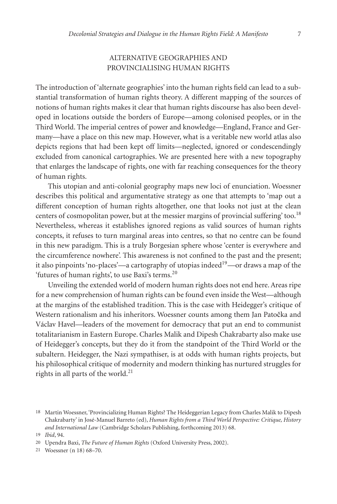## ALTERNATIVE GEOGRAPHIES AND PROVINCIALISING HUMAN RIGHTS

The introduction of 'alternate geographies' into the human rights field can lead to a substantial transformation of human rights theory. A different mapping of the sources of notions of human rights makes it clear that human rights discourse has also been developed in locations outside the borders of Europe—among colonised peoples, or in the Third World. The imperial centres of power and knowledge—England, France and Germany—have a place on this new map. However, what is a veritable new world atlas also depicts regions that had been kept off limits—neglected, ignored or condescendingly excluded from canonical cartographies. We are presented here with a new topography that enlarges the landscape of rights, one with far reaching consequences for the theory of human rights.

This utopian and anti-colonial geography maps new loci of enunciation. Woessner describes this political and argumentative strategy as one that attempts to 'map out a different conception of human rights altogether, one that looks not just at the clean centers of cosmopolitan power, but at the messier margins of provincial suffering' too.<sup>18</sup> Nevertheless, whereas it establishes ignored regions as valid sources of human rights concepts, it refuses to turn marginal areas into centres, so that no centre can be found in this new paradigm. This is a truly Borgesian sphere whose 'center is everywhere and the circumference nowhere'. This awareness is not confined to the past and the present; it also pinpoints 'no-places'—a cartography of utopias indeed<sup>19</sup>—or draws a map of the 'futures of human rights', to use Baxi's terms. $^{20}$ 

Unveiling the extended world of modern human rights does not end here. Areas ripe for a new comprehension of human rights can be found even inside the West—although at the margins of the established tradition. This is the case with Heidegger's critique of Western rationalism and his inheritors. Woessner counts among them Jan Patočka and Václav Havel—leaders of the movement for democracy that put an end to communist totalitarianism in Eastern Europe. Charles Malik and Dipesh Chakrabarty also make use of Heidegger's concepts, but they do it from the standpoint of the Third World or the subaltern. Heidegger, the Nazi sympathiser, is at odds with human rights projects, but his philosophical critique of modernity and modern thinking has nurtured struggles for rights in all parts of the world. $^{21}$ 

19 *Ibid*, 94.

<sup>18</sup> Martin Woessner, 'Provincializing Human Rights? The Heideggerian Legacy from Charles Malik to Dipesh Chakrabarty' in José-Manuel Barreto (ed), *Human Rights from a Third World Perspective: Critique, History and International Law* (Cambridge Scholars Publishing, forthcoming 2013) 68.

<sup>20</sup> Upendra Baxi, *The Future of Human Rights* (Oxford University Press, 2002).

<sup>21</sup> Woessner (n 18) 68–70.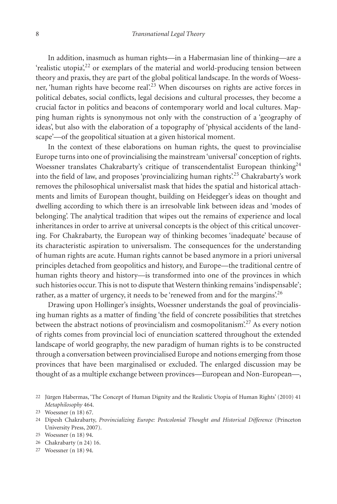In addition, inasmuch as human rights—in a Habermasian line of thinking—are a 'realistic utopia',<sup>22</sup> or exemplars of the material and world-producing tension between theory and praxis, they are part of the global political landscape. In the words of Woessner, 'human rights have become real'.<sup>23</sup> When discourses on rights are active forces in political debates, social conflicts, legal decisions and cultural processes, they become a crucial factor in politics and beacons of contemporary world and local cultures. Mapping human rights is synonymous not only with the construction of a 'geography of ideas', but also with the elaboration of a topography of 'physical accidents of the landscape'—of the geopolitical situation at a given historical moment.

In the context of these elaborations on human rights, the quest to provincialise Europe turns into one of provincialising the mainstream 'universal' conception of rights. Woessner translates Chakrabarty's critique of transcendentalist European thinking<sup>24</sup> into the field of law, and proposes 'provincializing human rights'.<sup>25</sup> Chakrabarty's work removes the philosophical universalist mask that hides the spatial and historical attachments and limits of European thought, building on Heidegger's ideas on thought and dwelling according to which there is an irresolvable link between ideas and 'modes of belonging'. The analytical tradition that wipes out the remains of experience and local inheritances in order to arrive at universal concepts is the object of this critical uncovering. For Chakrabarty, the European way of thinking becomes 'inadequate' because of its characteristic aspiration to universalism. The consequences for the understanding of human rights are acute. Human rights cannot be based anymore in a priori universal principles detached from geopolitics and history, and Europe—the traditional centre of human rights theory and history—is transformed into one of the provinces in which such histories occur. This is not to dispute that Western thinking remains 'indispensable'; rather, as a matter of urgency, it needs to be 'renewed from and for the margins'.<sup>26</sup>

Drawing upon Hollinger's insights, Woessner understands the goal of provincialising human rights as a matter of finding 'the field of concrete possibilities that stretches between the abstract notions of provincialism and cosmopolitanism.<sup>27</sup> As every notion of rights comes from provincial loci of enunciation scattered throughout the extended landscape of world geography, the new paradigm of human rights is to be constructed through a conversation between provincialised Europe and notions emerging from those provinces that have been marginalised or excluded. The enlarged discussion may be thought of as a multiple exchange between provinces—European and Non-European—,

26 Chakrabarty (n 24) 16.

<sup>22</sup> Jürgen Habermas, 'The Concept of Human Dignity and the Realistic Utopia of Human Rights' (2010) 41 *Metaphilosophy* 464.

<sup>23</sup> Woessner (n 18) 67.

<sup>24</sup> Dipesh Chakrabarty, *Provincializing Europe: Postcolonial Thought and Historical Difference* (Princeton University Press, 2007).

<sup>25</sup> Woessner (n 18) 94.

<sup>27</sup> Woessner (n 18) 94.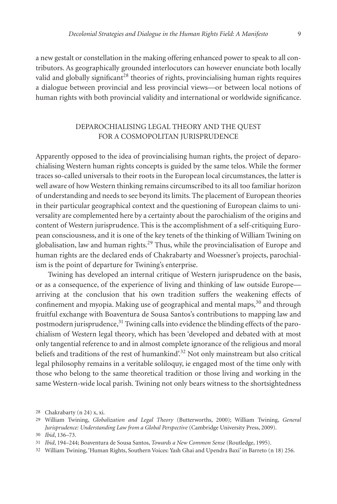a new gestalt or constellation in the making offering enhanced power to speak to all contributors. As geographically grounded interlocutors can however enunciate both locally valid and globally significant<sup>28</sup> theories of rights, provincialising human rights requires a dialogue between provincial and less provincial views—or between local notions of human rights with both provincial validity and international or worldwide significance.

# DEPAROCHIALISING LEGAL THEORY AND THE QUEST FOR A COSMOPOLITAN JURISPRUDENCE

Apparently opposed to the idea of provincialising human rights, the project of deparochialising Western human rights concepts is guided by the same telos. While the former traces so-called universals to their roots in the European local circumstances, the latter is well aware of how Western thinking remains circumscribed to its all too familiar horizon of understanding and needs to see beyond its limits. The placement of European theories in their particular geographical context and the questioning of European claims to universality are complemented here by a certainty about the parochialism of the origins and content of Western jurisprudence. This is the accomplishment of a self-critiquing European consciousness, and it is one of the key tenets of the thinking of William Twining on globalisation, law and human rights.<sup>29</sup> Thus, while the provincialisation of Europe and human rights are the declared ends of Chakrabarty and Woessner's projects, parochialism is the point of departure for Twining's enterprise.

Twining has developed an internal critique of Western jurisprudence on the basis, or as a consequence, of the experience of living and thinking of law outside Europe arriving at the conclusion that his own tradition suffers the weakening effects of confinement and myopia. Making use of geographical and mental maps, $30$  and through fruitful exchange with Boaventura de Sousa Santos's contributions to mapping law and postmodern jurisprudence,<sup>31</sup> Twining calls into evidence the blinding effects of the parochialism of Western legal theory, which has been 'developed and debated with at most only tangential reference to and in almost complete ignorance of the religious and moral beliefs and traditions of the rest of humankind<sup>'32</sup> Not only mainstream but also critical legal philosophy remains in a veritable soliloquy, ie engaged most of the time only with those who belong to the same theoretical tradition or those living and working in the same Western-wide local parish. Twining not only bears witness to the shortsightedness

<sup>28</sup> Chakrabarty (n 24) x, xi.

<sup>29</sup> William Twining, *Globalization and Legal Theory* (Butterworths, 2000); William Twining, *General Jurisprudence: Understanding Law from a Global Perspective* (Cambridge University Press, 2009).

<sup>30</sup> *Ibid*, 136–73.

<sup>31</sup> *Ibid*, 194–244; Boaventura de Sousa Santos, *Towards a New Common Sense* (Routledge, 1995).

<sup>32</sup> William Twining, 'Human Rights, Southern Voices: Yash Ghai and Upendra Baxi' in Barreto (n 18) 256.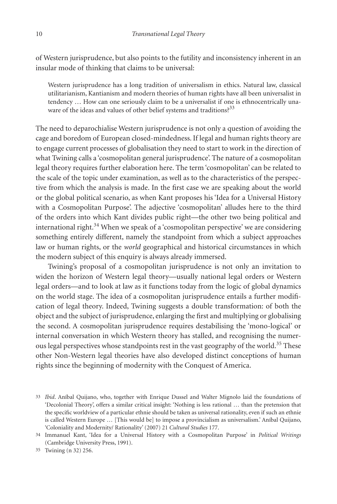of Western jurisprudence, but also points to the futility and inconsistency inherent in an insular mode of thinking that claims to be universal:

Western jurisprudence has a long tradition of universalism in ethics. Natural law, classical utilitarianism, Kantianism and modern theories of human rights have all been universalist in tendency … How can one seriously claim to be a universalist if one is ethnocentrically unaware of the ideas and values of other belief systems and traditions?<sup>33</sup>

The need to deparochialise Western jurisprudence is not only a question of avoiding the cage and boredom of European closed-mindedness. If legal and human rights theory are to engage current processes of globalisation they need to start to work in the direction of what Twining calls a 'cosmopolitan general jurisprudence'. The nature of a cosmopolitan legal theory requires further elaboration here. The term 'cosmopolitan' can be related to the scale of the topic under examination, as well as to the characteristics of the perspective from which the analysis is made. In the first case we are speaking about the world or the global political scenario, as when Kant proposes his 'Idea for a Universal History with a Cosmopolitan Purpose'. The adjective 'cosmopolitan' alludes here to the third of the orders into which Kant divides public right—the other two being political and international right.<sup>34</sup> When we speak of a 'cosmopolitan perspective' we are considering something entirely different, namely the standpoint from which a subject approaches law or human rights, or the *world* geographical and historical circumstances in which the modern subject of this enquiry is always already immersed.

Twining's proposal of a cosmopolitan jurisprudence is not only an invitation to widen the horizon of Western legal theory—usually national legal orders or Western legal orders—and to look at law as it functions today from the logic of global dynamics on the world stage. The idea of a cosmopolitan jurisprudence entails a further modification of legal theory. Indeed, Twining suggests a double transformation: of both the object and the subject of jurisprudence, enlarging the first and multiplying or globalising the second. A cosmopolitan jurisprudence requires destabilising the 'mono-logical' or internal conversation in which Western theory has stalled, and recognising the numerous legal perspectives whose standpoints rest in the vast geography of the world.<sup>35</sup> These other Non-Western legal theories have also developed distinct conceptions of human rights since the beginning of modernity with the Conquest of America.

<sup>33</sup> *Ibid*. Aníbal Quijano, who, together with Enrique Dussel and Walter Mignolo laid the foundations of 'Decolonial Theory', offers a similar critical insight: 'Nothing is less rational … than the pretension that the specific worldview of a particular ethnie should be taken as universal rationality, even if such an ethnie is called Western Europe … [This would be] to impose a provincialism as universalism.' Aníbal Quijano, 'Coloniality and Modernity/ Rationality' (2007) 21 *Cultural Studies* 177.

<sup>34</sup> Immanuel Kant, 'Idea for a Universal History with a Cosmopolitan Purpose' in *Political Writings* (Cambridge University Press, 1991).

<sup>35</sup> Twining (n 32) 256.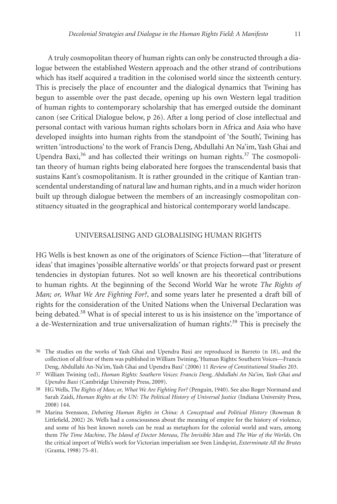A truly cosmopolitan theory of human rights can only be constructed through a dialogue between the established Western approach and the other strand of contributions which has itself acquired a tradition in the colonised world since the sixteenth century. This is precisely the place of encounter and the dialogical dynamics that Twining has begun to assemble over the past decade, opening up his own Western legal tradition of human rights to contemporary scholarship that has emerged outside the dominant canon (see Critical Dialogue below, p 26). After a long period of close intellectual and personal contact with various human rights scholars born in Africa and Asia who have developed insights into human rights from the standpoint of 'the South', Twining has written 'introductions' to the work of Francis Deng, Abdullahi An Na'im, Yash Ghai and Upendra Baxi, $36$  and has collected their writings on human rights. $37$  The cosmopolitan theory of human rights being elaborated here forgoes the transcendental basis that sustains Kant's cosmopolitanism. It is rather grounded in the critique of Kantian transcendental understanding of natural law and human rights, and in a much wider horizon built up through dialogue between the members of an increasingly cosmopolitan constituency situated in the geographical and historical contemporary world landscape.

#### UNIVERSALISING AND GLOBALISING HUMAN RIGHTS

HG Wells is best known as one of the originators of Science Fiction—that 'literature of ideas' that imagines 'possible alternative worlds' or that projects forward past or present tendencies in dystopian futures. Not so well known are his theoretical contributions to human rights. At the beginning of the Second World War he wrote *The Rights of Man; or, What We Are Fighting For?*, and some years later he presented a draft bill of rights for the consideration of the United Nations when the Universal Declaration was being debated*.* 38 What is of special interest to us is his insistence on the 'importance of a de-Westernization and true universalization of human rights<sup>'39</sup> This is precisely the

<sup>36</sup> The studies on the works of Yash Ghai and Upendra Baxi are reproduced in Barreto (n 18), and the collection of all four of them was published in William Twining, 'Human Rights: Southern Voices—Francis Deng, Abdullahi An-Na'im, Yash Ghai and Upendra Baxi' (2006) 11 *Review of Constitutional Studies* 203.

<sup>37</sup> William Twining (ed), *Human Rights: Southern Voices: Francis Deng, Abdullahi An Na'im, Yash Ghai and Upendra Baxi* (Cambridge University Press, 2009).

<sup>38</sup> HG Wells, *The Rights of Man; or, What We Are Fighting For?* (Penguin, 1940). See also Roger Normand and Sarah Zaidi, *Human Rights at the UN: The Political History of Universal Justice* (Indiana University Press, 2008) 144.

<sup>39</sup> Marina Svensson, *Debating Human Rights in China: A Conceptual and Political History* (Rowman & Littlefield, 2002) 26. Wells had a consciousness about the meaning of empire for the history of violence, and some of his best known novels can be read as metaphors for the colonial world and wars, among them *The Time Machine*, *The Island of Doctor Moreau*, *The Invisible Man* and *The War of the Worlds*. On the critical import of Wells's work for Victorian imperialism see Sven Lindqvist, *Exterminate All the Brutes* (Granta, 1998) 75–81.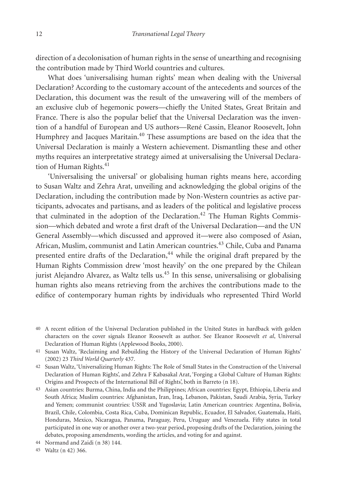direction of a decolonisation of human rights in the sense of unearthing and recognising the contribution made by Third World countries and cultures.

What does 'universalising human rights' mean when dealing with the Universal Declaration? According to the customary account of the antecedents and sources of the Declaration, this document was the result of the unwavering will of the members of an exclusive club of hegemonic powers—chiefly the United States, Great Britain and France. There is also the popular belief that the Universal Declaration was the invention of a handful of European and US authors—René Cassin, Eleanor Roosevelt, John Humphrey and Jacques Maritain.<sup>40</sup> These assumptions are based on the idea that the Universal Declaration is mainly a Western achievement. Dismantling these and other myths requires an interpretative strategy aimed at universalising the Universal Declaration of Human Rights.<sup>41</sup>

'Universalising the universal' or globalising human rights means here, according to Susan Waltz and Zehra Arat, unveiling and acknowledging the global origins of the Declaration, including the contribution made by Non-Western countries as active participants, advocates and partisans, and as leaders of the political and legislative process that culminated in the adoption of the Declaration.<sup>42</sup> The Human Rights Commission—which debated and wrote a first draft of the Universal Declaration—and the UN General Assembly—which discussed and approved it—were also composed of Asian, African, Muslim, communist and Latin American countries.<sup>43</sup> Chile, Cuba and Panama presented entire drafts of the Declaration,<sup>44</sup> while the original draft prepared by the Human Rights Commission drew 'most heavily' on the one prepared by the Chilean jurist Alejandro Alvarez, as Waltz tells us.45 In this sense, universalising or globalising human rights also means retrieving from the archives the contributions made to the edifice of contemporary human rights by individuals who represented Third World

<sup>40</sup> A recent edition of the Universal Declaration published in the United States in hardback with golden characters on the cover signals Eleanor Roosevelt as author. See Eleanor Roosevelt *et al*, Universal Declaration of Human Rights (Applewood Books, 2000).

<sup>41</sup> Susan Waltz, 'Reclaiming and Rebuilding the History of the Universal Declaration of Human Rights' (2002) 23 *Third World Quarterly* 437.

<sup>42</sup> Susan Waltz, 'Universalizing Human Rights: The Role of Small States in the Construction of the Universal Declaration of Human Rights', and Zehra F Kabasakal Arat, 'Forging a Global Culture of Human Rights: Origins and Prospects of the International Bill of Rights', both in Barreto (n 18).

<sup>43</sup> Asian countries: Burma, China, India and the Philippines; African countries: Egypt, Ethiopia, Liberia and South Africa; Muslim countries: Afghanistan, Iran, Iraq, Lebanon, Pakistan, Saudi Arabia, Syria, Turkey and Yemen; communist countries: USSR and Yugoslavia; Latin American countries: Argentina, Bolivia, Brazil, Chile, Colombia, Costa Rica, Cuba, Dominican Republic, Ecuador, El Salvador, Guatemala, Haiti, Honduras, Mexico, Nicaragua, Panama, Paraguay, Peru, Uruguay and Venezuela. Fifty states in total participated in one way or another over a two-year period, proposing drafts of the Declaration, joining the debates, proposing amendments, wording the articles, and voting for and against.

<sup>44</sup> Normand and Zaidi (n 38) 144.

<sup>45</sup> Waltz (n 42) 366.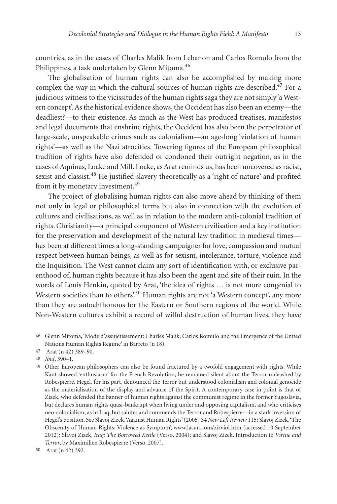countries, as in the cases of Charles Malik from Lebanon and Carlos Romulo from the Philippines, a task undertaken by Glenn Mitoma.<sup>46</sup>

The globalisation of human rights can also be accomplished by making more complex the way in which the cultural sources of human rights are described.<sup>47</sup> For a judicious witness to the vicissitudes of the human rights saga they are not simply 'a Western concept'. As the historical evidence shows, the Occident has also been an enemy—the deadliest?—to their existence. As much as the West has produced treatises, manifestos and legal documents that enshrine rights, the Occident has also been the perpetrator of large-scale, unspeakable crimes such as colonialism—an age-long 'violation of human rights'—as well as the Nazi atrocities. Towering figures of the European philosophical tradition of rights have also defended or condoned their outright negation, as in the cases of Aquinas, Locke and Mill. Locke, as Arat reminds us, has been uncovered as racist, sexist and classist.<sup>48</sup> He justified slavery theoretically as a 'right of nature' and profited from it by monetary investment.<sup>49</sup>

The project of globalising human rights can also move ahead by thinking of them not only in legal or philosophical terms but also in connection with the evolution of cultures and civilisations, as well as in relation to the modern anti-colonial tradition of rights. Christianity—a principal component of Western civilisation and a key institution for the preservation and development of the natural law tradition in medieval times has been at different times a long-standing campaigner for love, compassion and mutual respect between human beings, as well as for sexism, intolerance, torture, violence and the Inquisition. The West cannot claim any sort of identification with, or exclusive parenthood of, human rights because it has also been the agent and site of their ruin. In the words of Louis Henkin, quoted by Arat, 'the idea of rights … is not more congenial to Western societies than to others<sup>'50</sup> Human rights are not 'a Western concept', any more than they are autochthonous for the Eastern or Southern regions of the world. While Non-Western cultures exhibit a record of wilful destruction of human lives, they have

- 47 Arat (n 42) 389–90.
- 48 *Ibid*, 390–1.
- 49 Other European philosophers can also be found fractured by a twofold engagement with rights. While Kant showed 'enthusiasm' for the French Revolution, he remained silent about the Terror unleashed by Robespierre. Hegel, for his part, denounced the Terror but understood colonialism and colonial genocide as the materialisation of the display and advance of the Spirit. A contemporary case in point is that of Zizek, who defended the banner of human rights against the communist regime in the former Yugoslavia, but declares human rights quasi-bankrupt when living under and opposing capitalism, and who criticises neo-colonialism, as in Iraq, but salutes and commends the Terror and Robespierre—in a stark inversion of Hegel's position. See Slavoj Zizek, 'Against Human Rights' (2005) 34 *New Left Review* 115; Slavoj Zizek, 'The Obscenity of Human Rights: Violence as Symptom', www.lacan.com/zizviol.htm (accessed 10 September 2012); Slavoj Zizek, *Iraq: The Borrowed Kettle* (Verso, 2004); and Slavoj Zizek, Introduction to *Virtue and Terror*, by Maximilien Robespierre (Verso, 2007).

<sup>46</sup> Glenn Mitoma, 'Mode d'assujetissement: Charles Malik, Carlos Romulo and the Emergence of the United Nations Human Rights Regime' in Barreto (n 18).

<sup>50</sup> Arat (n 42) 392.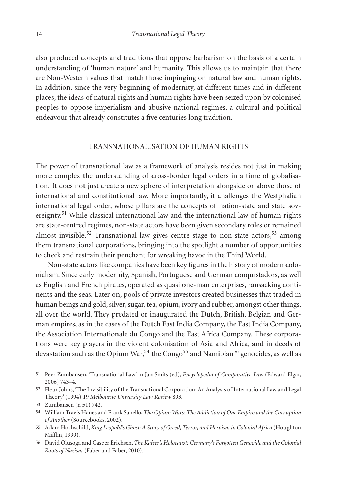also produced concepts and traditions that oppose barbarism on the basis of a certain understanding of 'human nature' and humanity. This allows us to maintain that there are Non-Western values that match those impinging on natural law and human rights. In addition, since the very beginning of modernity, at different times and in different places, the ideas of natural rights and human rights have been seized upon by colonised peoples to oppose imperialism and abusive national regimes, a cultural and political endeavour that already constitutes a five centuries long tradition.

#### TRANSNATIONALISATION OF HUMAN RIGHTS

The power of transnational law as a framework of analysis resides not just in making more complex the understanding of cross-border legal orders in a time of globalisation. It does not just create a new sphere of interpretation alongside or above those of international and constitutional law. More importantly, it challenges the Westphalian international legal order, whose pillars are the concepts of nation-state and state sovereignty.<sup>51</sup> While classical international law and the international law of human rights are state-centred regimes, non-state actors have been given secondary roles or remained almost invisible.<sup>52</sup> Transnational law gives centre stage to non-state actors,<sup>53</sup> among them transnational corporations, bringing into the spotlight a number of opportunities to check and restrain their penchant for wreaking havoc in the Third World.

Non-state actors like companies have been key figures in the history of modern colonialism. Since early modernity, Spanish, Portuguese and German conquistadors, as well as English and French pirates, operated as quasi one-man enterprises, ransacking continents and the seas. Later on, pools of private investors created businesses that traded in human beings and gold, silver, sugar, tea, opium, ivory and rubber, amongst other things, all over the world. They predated or inaugurated the Dutch, British, Belgian and German empires, as in the cases of the Dutch East India Company, the East India Company, the Association Internationale du Congo and the East Africa Company. These corporations were key players in the violent colonisation of Asia and Africa, and in deeds of devastation such as the Opium War,<sup>54</sup> the Congo<sup>55</sup> and Namibian<sup>56</sup> genocides, as well as

<sup>51</sup> Peer Zumbansen, 'Transnational Law' in Jan Smits (ed), *Encyclopedia of Comparative Law* (Edward Elgar, 2006) 743–4.

<sup>52</sup> Fleur Johns, 'The Invisibility of the Transnational Corporation: An Analysis of International Law and Legal Theory' (1994) 19 *Melbourne University Law Review* 893.

<sup>53</sup> Zumbansen (n 51) 742.

<sup>54</sup> William Travis Hanes and Frank Sanello, *The Opium Wars: The Addiction of One Empire and the Corruption of Another* (Sourcebooks, 2002).

<sup>55</sup> Adam Hochschild, *King Leopold's Ghost: A Story of Greed, Terror, and Heroism in Colonial Africa* (Houghton Mifflin, 1999).

<sup>56</sup> David Olusoga and Casper Erichsen, *The Kaiser's Holocaust: Germany's Forgotten Genocide and the Colonial Roots of Nazism* (Faber and Faber, 2010).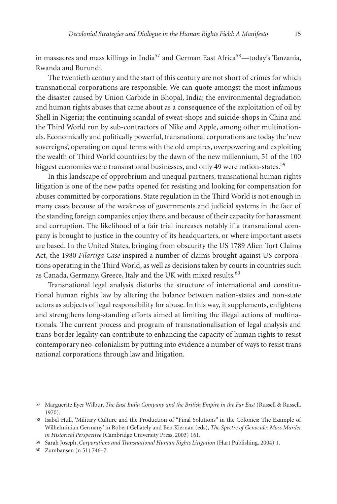in massacres and mass killings in India<sup>57</sup> and German East Africa<sup>58</sup>—today's Tanzania, Rwanda and Burundi.

The twentieth century and the start of this century are not short of crimes for which transnational corporations are responsible. We can quote amongst the most infamous the disaster caused by Union Carbide in Bhopal, India; the environmental degradation and human rights abuses that came about as a consequence of the exploitation of oil by Shell in Nigeria; the continuing scandal of sweat-shops and suicide-shops in China and the Third World run by sub-contractors of Nike and Apple, among other multinationals. Economically and politically powerful, transnational corporations are today the 'new sovereigns', operating on equal terms with the old empires, overpowering and exploiting the wealth of Third World countries: by the dawn of the new millennium, 51 of the 100 biggest economies were transnational businesses, and only 49 were nation-states.<sup>59</sup>

In this landscape of opprobrium and unequal partners, transnational human rights litigation is one of the new paths opened for resisting and looking for compensation for abuses committed by corporations. State regulation in the Third World is not enough in many cases because of the weakness of governments and judicial systems in the face of the standing foreign companies enjoy there, and because of their capacity for harassment and corruption. The likelihood of a fair trial increases notably if a transnational company is brought to justice in the country of its headquarters, or where important assets are based. In the United States, bringing from obscurity the US 1789 Alien Tort Claims Act, the 1980 *Filartiga Case* inspired a number of claims brought against US corporations operating in the Third World, as well as decisions taken by courts in countries such as Canada, Germany, Greece, Italy and the UK with mixed results.<sup>60</sup>

Transnational legal analysis disturbs the structure of international and constitutional human rights law by altering the balance between nation-states and non-state actors as subjects of legal responsibility for abuse. In this way, it supplements, enlightens and strengthens long-standing efforts aimed at limiting the illegal actions of multinationals. The current process and program of transnationalisation of legal analysis and trans-border legality can contribute to enhancing the capacity of human rights to resist contemporary neo-colonialism by putting into evidence a number of ways to resist trans national corporations through law and litigation.

<sup>57</sup> Marguerite Eyer Wilbur, *The East India Company and the British Empire in the Far East* (Russell & Russell, 1970).

<sup>58</sup> Isabel Hull, 'Military Culture and the Production of "Final Solutions" in the Colonies: The Example of Wilhelminian Germany' in Robert Gellately and Ben Kiernan (eds), *The Spectre of Genocide: Mass Murder in Historical Perspective* (Cambridge University Press, 2003) 161.

<sup>59</sup> Sarah Joseph, *Corporations and Transnational Human Rights Litigation* (Hart Publishing, 2004) 1.

<sup>60</sup> Zumbansen (n 51) 746–7.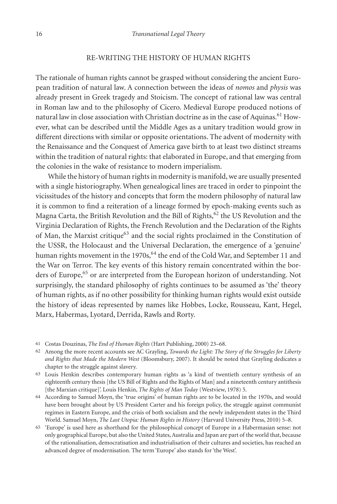## RE-WRITING THE HISTORY OF HUMAN RIGHTS

The rationale of human rights cannot be grasped without considering the ancient European tradition of natural law. A connection between the ideas of *nomos* and *physis* was already present in Greek tragedy and Stoicism. The concept of rational law was central in Roman law and to the philosophy of Cicero. Medieval Europe produced notions of natural law in close association with Christian doctrine as in the case of Aquinas.<sup>61</sup> However, what can be described until the Middle Ages as a unitary tradition would grow in different directions with similar or opposite orientations. The advent of modernity with the Renaissance and the Conquest of America gave birth to at least two distinct streams within the tradition of natural rights: that elaborated in Europe, and that emerging from the colonies in the wake of resistance to modern imperialism.

While the history of human rights in modernity is manifold, we are usually presented with a single historiography. When genealogical lines are traced in order to pinpoint the vicissitudes of the history and concepts that form the modern philosophy of natural law it is common to find a reiteration of a lineage formed by epoch-making events such as Magna Carta, the British Revolution and the Bill of Rights,  $62$  the US Revolution and the Virginia Declaration of Rights, the French Revolution and the Declaration of the Rights of Man, the Marxist critique<sup>63</sup> and the social rights proclaimed in the Constitution of the USSR, the Holocaust and the Universal Declaration, the emergence of a 'genuine' human rights movement in the 1970s,<sup>64</sup> the end of the Cold War, and September 11 and the War on Terror. The key events of this history remain concentrated within the borders of Europe,<sup>65</sup> or are interpreted from the European horizon of understanding. Not surprisingly, the standard philosophy of rights continues to be assumed as 'the' theory of human rights, as if no other possibility for thinking human rights would exist outside the history of ideas represented by names like Hobbes, Locke, Rousseau, Kant, Hegel, Marx, Habermas, Lyotard, Derrida, Rawls and Rorty.

- 62 Among the more recent accounts see AC Grayling, *Towards the Light: The Story of the Struggles for Liberty and Rights that Made the Modern West* (Bloomsbury, 2007). It should be noted that Grayling dedicates a chapter to the struggle against slavery.
- 63 Louis Henkin describes contemporary human rights as 'a kind of twentieth century synthesis of an eighteenth century thesis [the US Bill of Rights and the Rights of Man] and a nineteenth century antithesis [the Marxian critique]'. Louis Henkin, *The Rights of Man Today* (Westview, 1978) 5.
- 64 According to Samuel Moyn, the 'true origins' of human rights are to be located in the 1970s, and would have been brought about by US President Carter and his foreign policy, the struggle against communist regimes in Eastern Europe, and the crisis of both socialism and the newly independent states in the Third World. Samuel Moyn, *The Last Utopia: Human Rights in History* (Harvard University Press, 2010) 5–8.
- 65 'Europe' is used here as shorthand for the philosophical concept of Europe in a Habermasian sense: not only geographical Europe, but also the United States, Australia and Japan are part of the world that, because of the rationalisation, democratisation and industrialisation of their cultures and societies, has reached an advanced degree of modernisation. The term 'Europe' also stands for 'the West'.

<sup>61</sup> Costas Douzinas, *The End of Human Rights* (Hart Publishing, 2000) 23–68.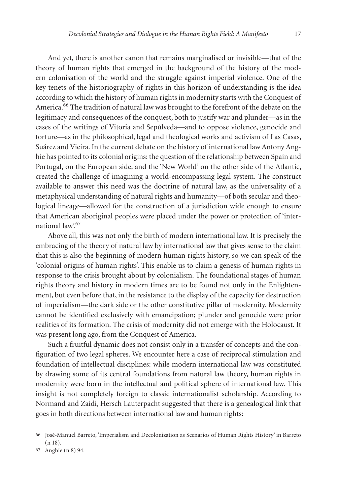And yet, there is another canon that remains marginalised or invisible—that of the theory of human rights that emerged in the background of the history of the modern colonisation of the world and the struggle against imperial violence. One of the key tenets of the historiography of rights in this horizon of understanding is the idea according to which the history of human rights in modernity starts with the Conquest of America.<sup>66</sup> The tradition of natural law was brought to the forefront of the debate on the legitimacy and consequences of the conquest, both to justify war and plunder—as in the cases of the writings of Vitoria and Sepúlveda—and to oppose violence, genocide and torture—as in the philosophical, legal and theological works and activism of Las Casas, Suárez and Vieira. In the current debate on the history of international law Antony Anghie has pointed to its colonial origins: the question of the relationship between Spain and Portugal, on the European side, and the 'New World' on the other side of the Atlantic, created the challenge of imagining a world-encompassing legal system. The construct available to answer this need was the doctrine of natural law, as the universality of a metaphysical understanding of natural rights and humanity—of both secular and theological lineage—allowed for the construction of a jurisdiction wide enough to ensure that American aboriginal peoples were placed under the power or protection of 'international law'.<sup>67</sup>

Above all, this was not only the birth of modern international law. It is precisely the embracing of the theory of natural law by international law that gives sense to the claim that this is also the beginning of modern human rights history, so we can speak of the 'colonial origins of human rights'. This enable us to claim a genesis of human rights in response to the crisis brought about by colonialism. The foundational stages of human rights theory and history in modern times are to be found not only in the Enlightenment, but even before that, in the resistance to the display of the capacity for destruction of imperialism—the dark side or the other constitutive pillar of modernity. Modernity cannot be identified exclusively with emancipation; plunder and genocide were prior realities of its formation. The crisis of modernity did not emerge with the Holocaust. It was present long ago, from the Conquest of America.

Such a fruitful dynamic does not consist only in a transfer of concepts and the configuration of two legal spheres. We encounter here a case of reciprocal stimulation and foundation of intellectual disciplines: while modern international law was constituted by drawing some of its central foundations from natural law theory, human rights in modernity were born in the intellectual and political sphere of international law. This insight is not completely foreign to classic internationalist scholarship. According to Normand and Zaidi, Hersch Lauterpacht suggested that there is a genealogical link that goes in both directions between international law and human rights:

<sup>66</sup> José-Manuel Barreto, 'Imperialism and Decolonization as Scenarios of Human Rights History' in Barreto (n 18).

<sup>67</sup> Anghie (n 8) 94.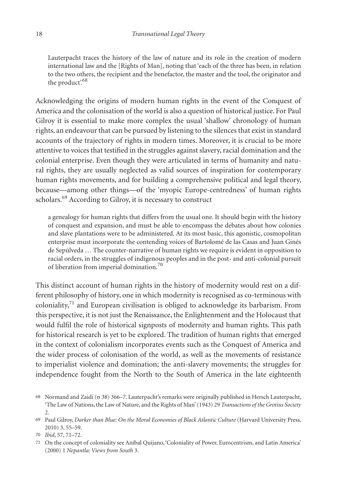Lauterpacht traces the history of the law of nature and its role in the creation of modern international law and the [Rights of Man], noting that 'each of the three has been, in relation to the two others, the recipient and the benefactor, the master and the tool, the originator and the product'.<sup>68</sup>

Acknowledging the origins of modern human rights in the event of the Conquest of America and the colonisation of the world is also a question of historical justice. For Paul Gilroy it is essential to make more complex the usual 'shallow' chronology of human rights, an endeavour that can be pursued by listening to the silences that exist in standard accounts of the trajectory of rights in modern times. Moreover, it is crucial to be more attentive to voices that testified in the struggles against slavery, racial domination and the colonial enterprise. Even though they were articulated in terms of humanity and natural rights, they are usually neglected as valid sources of inspiration for contemporary human rights movements, and for building a comprehensive political and legal theory, because—among other things—of the 'myopic Europe-centredness' of human rights scholars.<sup>69</sup> According to Gilroy, it is necessary to construct

a genealogy for human rights that differs from the usual one. It should begin with the history of conquest and expansion, and must be able to encompass the debates about how colonies and slave plantations were to be administered. At its most basic, this agonistic, cosmopolitan enterprise must incorporate the contending voices of Bartolomé de las Casas and Juan Ginés de Sepúlveda … The counter-narrative of human rights we require is evident in opposition to racial orders, in the struggles of indigenous peoples and in the post- and anti-colonial pursuit of liberation from imperial domination.70

This distinct account of human rights in the history of modernity would rest on a different philosophy of history, one in which modernity is recognised as co-terminous with coloniality, $71$  and European civilisation is obliged to acknowledge its barbarism. From this perspective, it is not just the Renaissance, the Enlightenment and the Holocaust that would fulfil the role of historical signposts of modernity and human rights. This path for historical research is yet to be explored. The tradition of human rights that emerged in the context of colonialism incorporates events such as the Conquest of America and the wider process of colonisation of the world, as well as the movements of resistance to imperialist violence and domination; the anti-slavery movements; the struggles for independence fought from the North to the South of America in the late eighteenth

<sup>68</sup> Normand and Zaidi (n 38) 366–7. Lauterpacht's remarks were originally published in Hersch Lauterpacht, 'The Law of Nations, the Law of Nature, and the Rights of Man' (1943) 29 *Transactions of the Grotius Society* 2.

<sup>69</sup> Paul Gilroy, *Darker than Blue: On the Moral Economies of Black Atlantic Culture* (Harvard University Press, 2010) 3, 55–59.

<sup>70</sup> *Ibid*, 57, 71–72.

<sup>71</sup> On the concept of coloniality see Aníbal Quijano, 'Coloniality of Power, Eurocentrism, and Latin America' (2000) 1 *Nepantla: Views from South* 3.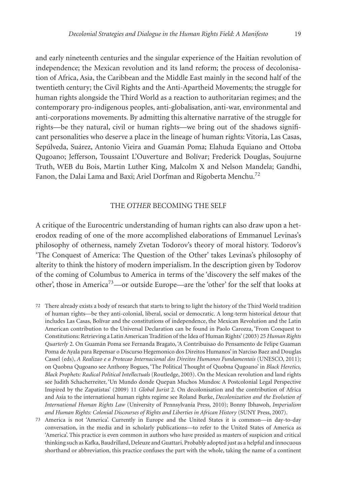and early nineteenth centuries and the singular experience of the Haitian revolution of independence; the Mexican revolution and its land reform; the process of decolonisation of Africa, Asia, the Caribbean and the Middle East mainly in the second half of the twentieth century; the Civil Rights and the Anti-Apartheid Movements; the struggle for human rights alongside the Third World as a reaction to authoritarian regimes; and the contemporary pro-indigenous peoples, anti-globalisation, anti-war, environmental and anti-corporations movements. By admitting this alternative narrative of the struggle for rights—be they natural, civil or human rights—we bring out of the shadows significant personalities who deserve a place in the lineage of human rights: Vitoria, Las Casas, Sepúlveda, Suárez, Antonio Vieira and Guamán Poma; Elahuda Equiano and Ottoba Qugoano; Jefferson, Toussaint L'Ouverture and Bolívar; Frederick Douglas, Soujurne Truth, WEB du Bois, Martin Luther King, Malcolm X and Nelson Mandela; Gandhi, Fanon, the Dalai Lama and Baxi; Ariel Dorfman and Rigoberta Menchu.<sup>72</sup>

## THE *OTHER* BECOMING THE SELF

A critique of the Eurocentric understanding of human rights can also draw upon a heterodox reading of one of the more accomplished elaborations of Emmanuel Levinas's philosophy of otherness, namely Zvetan Todorov's theory of moral history. Todorov's 'The Conquest of America: The Question of the Other' takes Levinas's philosophy of alterity to think the history of modern imperialism. In the description given by Todorov of the coming of Columbus to America in terms of the 'discovery the self makes of the other', those in America73—or outside Europe—are the 'other' for the self that looks at

- 72 There already exists a body of research that starts to bring to light the history of the Third World tradition of human rights—be they anti-colonial, liberal, social or democratic. A long-term historical detour that includes Las Casas, Bolívar and the constitutions of independence, the Mexican Revolution and the Latin American contribution to the Universal Declaration can be found in Paolo Carozza, 'From Conquest to Constitutions: Retrieving a Latin American Tradition of the Idea of Human Rights' (2003) 25 *Human Rights Quarterly* 2. On Guamán Poma see Fernanda Bragato, 'A Contribuisao do Pensamento de Felipe Guaman Poma de Ayala para Repensar o Discurso Hegemonico dos Direitos Humanos' in Narciso Baez and Douglas Cassel (eds), *A Realizao e a Protecao Internacional dos Direitos Humanos Fundamentais* (UNESCO, 2011); on Quobna Qugoano see Anthony Bogues, 'The Political Thought of Quobna Qugoano' in *Black Heretics, Black Prophets: Radical Political Intellectuals* (Routledge, 2003). On the Mexican revolution and land rights see Judith Schacherreiter, 'Un Mundo donde Quepan Muchos Mundos: A Postcolonial Legal Perspective Inspired by the Zapatistas' (2009) 11 *Global Jurist* 2. On decolonisation and the contribution of Africa and Asia to the international human rights regime see Roland Burke, *Decolonization and the Evolution of International Human Rights Law* (University of Pennsylvania Press, 2010); Bonny Ibhawoh, *Imperialism and Human Rights: Colonial Discourses of Rights and Liberties in African History* (SUNY Press, 2007).
- 73 America is not 'America'. Currently in Europe and the United States it is common—in day-to-day conversation, in the media and in scholarly publications—to refer to the United States of America as 'America'. This practice is even common in authors who have presided as masters of suspicion and critical thinking such as Kafka, Baudrillard, Deleuze and Guattari. Probably adopted just as a helpful and innocuous shorthand or abbreviation, this practice confuses the part with the whole, taking the name of a continent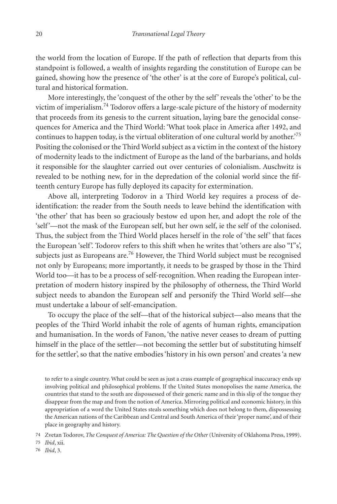the world from the location of Europe. If the path of reflection that departs from this standpoint is followed, a wealth of insights regarding the constitution of Europe can be gained, showing how the presence of 'the other' is at the core of Europe's political, cultural and historical formation.

More interestingly, the 'conquest of the other by the self' reveals the 'other' to be the victim of imperialism.74 Todorov offers a large-scale picture of the history of modernity that proceeds from its genesis to the current situation, laying bare the genocidal consequences for America and the Third World: 'What took place in America after 1492, and continues to happen today, is the virtual obliteration of one cultural world by another.<sup>75</sup> Positing the colonised or the Third World subject as a victim in the context of the history of modernity leads to the indictment of Europe as the land of the barbarians, and holds it responsible for the slaughter carried out over centuries of colonialism. Auschwitz is revealed to be nothing new, for in the depredation of the colonial world since the fifteenth century Europe has fully deployed its capacity for extermination.

Above all, interpreting Todorov in a Third World key requires a process of deidentification: the reader from the South needs to leave behind the identification with 'the other' that has been so graciously bestow ed upon her, and adopt the role of the 'self'—not the mask of the European self, but her own self, ie the self of the colonised. Thus, the subject from the Third World places herself in the role of 'the self' that faces the European 'self'. Todorov refers to this shift when he writes that 'others are also "I"s', subjects just as Europeans are.<sup>76</sup> However, the Third World subject must be recognised not only by Europeans; more importantly, it needs to be grasped by those in the Third World too—it has to be a process of self-recognition. When reading the European interpretation of modern history inspired by the philosophy of otherness, the Third World subject needs to abandon the European self and personify the Third World self—she must undertake a labour of self-emancipation.

To occupy the place of the self—that of the historical subject—also means that the peoples of the Third World inhabit the role of agents of human rights, emancipation and humanisation. In the words of Fanon, 'the native never ceases to dream of putting himself in the place of the settler—not becoming the settler but of substituting himself for the settler', so that the native embodies 'history in his own person' and creates 'a new

to refer to a single country. What could be seen as just a crass example of geographical inaccuracy ends up involving political and philosophical problems. If the United States monopolises the name America, the countries that stand to the south are dispossessed of their generic name and in this slip of the tongue they disappear from the map and from the notion of America. Mirroring political and economic history, in this appropriation of a word the United States steals something which does not belong to them, dispossessing the American nations of the Caribbean and Central and South America of their 'proper name', and of their place in geography and history.

74 Zvetan Todorov, *The Conquest of America: The Question of the Other* (University of Oklahoma Press, 1999).

75 *Ibid*, xii.

76 *Ibid*, 3.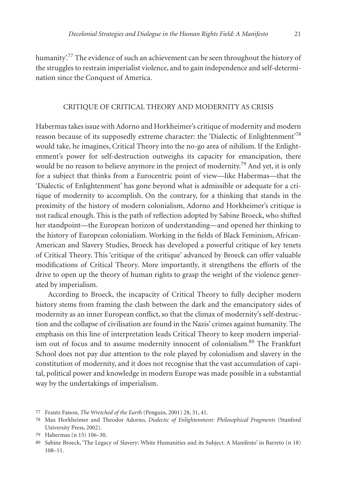humanity.<sup>77</sup> The evidence of such an achievement can be seen throughout the history of the struggles to restrain imperialist violence, and to gain independence and self-determination since the Conquest of America.

### CRITIQUE OF CRITICAL THEORY AND MODERNITY AS CRISIS

Habermas takes issue with Adorno and Horkheimer's critique of modernity and modern reason because of its supposedly extreme character: the 'Dialectic of Enlightenment'<sup>78</sup> would take, he imagines, Critical Theory into the no-go area of nihilism. If the Enlightenment's power for self-destruction outweighs its capacity for emancipation, there would be no reason to believe anymore in the project of modernity.<sup>79</sup> And yet, it is only for a subject that thinks from a Eurocentric point of view—like Habermas—that the 'Dialectic of Enlightenment' has gone beyond what is admissible or adequate for a critique of modernity to accomplish. On the contrary, for a thinking that stands in the proximity of the history of modern colonialism, Adorno and Horkheimer's critique is not radical enough. This is the path of reflection adopted by Sabine Broeck, who shifted her standpoint—the European horizon of understanding—and opened her thinking to the history of European colonialism. Working in the fields of Black Feminism, African-American and Slavery Studies, Broeck has developed a powerful critique of key tenets of Critical Theory. This 'critique of the critique' advanced by Broeck can offer valuable modifications of Critical Theory. More importantly, it strengthens the efforts of the drive to open up the theory of human rights to grasp the weight of the violence generated by imperialism.

According to Broeck, the incapacity of Critical Theory to fully decipher modern history stems from framing the clash between the dark and the emancipatory sides of modernity as an inner European conflict, so that the climax of modernity's self-destruction and the collapse of civilisation are found in the Nazis' crimes against humanity. The emphasis on this line of interpretation leads Critical Theory to keep modern imperialism out of focus and to assume modernity innocent of colonialism.<sup>80</sup> The Frankfurt School does not pay due attention to the role played by colonialism and slavery in the constitution of modernity, and it does not recognise that the vast accumulation of capital, political power and knowledge in modern Europe was made possible in a substantial way by the undertakings of imperialism.

<sup>77</sup> Frantz Fanon, *The Wretched of the Earth* (Penguin, 2001) 28, 31, 41.

<sup>78</sup> Max Horkheimer and Theodor Adorno, *Dialectic of Enlightenment: Philosophical Fragments* (Stanford University Press, 2002).

<sup>79</sup> Habermas (n 15) 106–30.

<sup>80</sup> Sabine Broeck, 'The Legacy of Slavery: White Humanities and its Subject. A Manifesto' in Barreto (n 18) 108–11.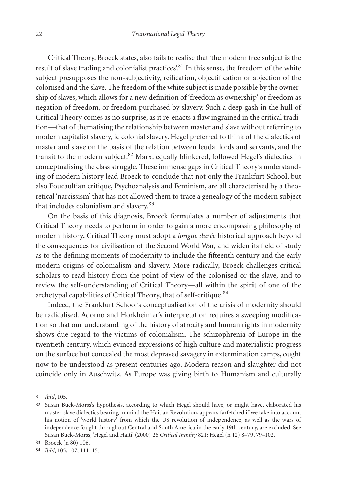Critical Theory, Broeck states, also fails to realise that 'the modern free subject is the result of slave trading and colonialist practices.<sup>81</sup> In this sense, the freedom of the white subject presupposes the non-subjectivity, reification, objectification or abjection of the colonised and the slave. The freedom of the white subject is made possible by the ownership of slaves, which allows for a new definition of 'freedom as ownership' or freedom as negation of freedom, or freedom purchased by slavery. Such a deep gash in the hull of Critical Theory comes as no surprise, as it re-enacts a flaw ingrained in the critical tradition—that of thematising the relationship between master and slave without referring to modern capitalist slavery, ie colonial slavery. Hegel preferred to think of the dialectics of master and slave on the basis of the relation between feudal lords and servants, and the transit to the modern subject. $82$  Marx, equally blinkered, followed Hegel's dialectics in conceptualising the class struggle. These immense gaps in Critical Theory's understanding of modern history lead Broeck to conclude that not only the Frankfurt School, but also Foucaultian critique, Psychoanalysis and Feminism, are all characterised by a theoretical 'narcissism' that has not allowed them to trace a genealogy of the modern subject that includes colonialism and slavery.<sup>83</sup>

On the basis of this diagnosis, Broeck formulates a number of adjustments that Critical Theory needs to perform in order to gain a more encompassing philosophy of modern history. Critical Theory must adopt a *longue durée* historical approach beyond the consequences for civilisation of the Second World War, and widen its field of study as to the defining moments of modernity to include the fifteenth century and the early modern origins of colonialism and slavery. More radically, Broeck challenges critical scholars to read history from the point of view of the colonised or the slave, and to review the self-understanding of Critical Theory—all within the spirit of one of the archetypal capabilities of Critical Theory, that of self-critique.<sup>84</sup>

Indeed, the Frankfurt School's conceptualisation of the crisis of modernity should be radicalised. Adorno and Horkheimer's interpretation requires a sweeping modification so that our understanding of the history of atrocity and human rights in modernity shows due regard to the victims of colonialism. The schizophrenia of Europe in the twentieth century, which evinced expressions of high culture and materialistic progress on the surface but concealed the most depraved savagery in extermination camps, ought now to be understood as present centuries ago. Modern reason and slaughter did not coincide only in Auschwitz. As Europe was giving birth to Humanism and culturally

<sup>81</sup> *Ibid*, 105.

<sup>82</sup> Susan Buck-Morss's hypothesis, according to which Hegel should have, or might have, elaborated his master-slave dialectics bearing in mind the Haitian Revolution, appears farfetched if we take into account his notion of 'world history' from which the US revolution of independence, as well as the wars of independence fought throughout Central and South America in the early 19th century, are excluded. See Susan Buck-Morss, 'Hegel and Haiti' (2000) 26 *Critical Inquiry* 821; Hegel (n 12) 8–79, 79–102.

<sup>83</sup> Broeck (n 80) 106.

<sup>84</sup> *Ibid*, 105, 107, 111–15.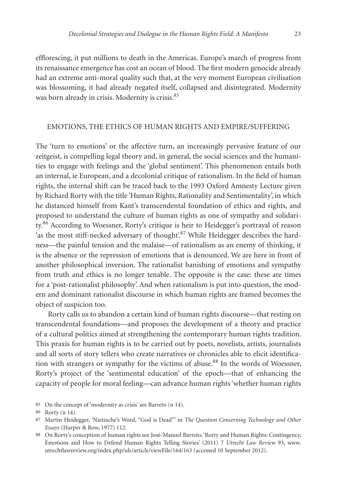efflorescing, it put millions to death in the Americas. Europe's march of progress from its renaissance emergence has cost an ocean of blood. The first modern genocide already had an extreme anti-moral quality such that, at the very moment European civilisation was blossoming, it had already negated itself, collapsed and disintegrated. Modernity was born already in crisis. Modernity is crisis.<sup>85</sup>

#### EMOTIONS, THE ETHICS OF HUMAN RIGHTS AND EMPIRE/SUFFERING

The 'turn to emotions' or the affective turn, an increasingly pervasive feature of our zeitgeist, is compelling legal theory and, in general, the social sciences and the humanities to engage with feelings and the 'global sentiment'. This phenomenon entails both an internal, ie European, and a decolonial critique of rationalism. In the field of human rights, the internal shift can be traced back to the 1993 Oxford Amnesty Lecture given by Richard Rorty with the title 'Human Rights, Rationality and Sentimentality', in which he distanced himself from Kant's transcendental foundation of ethics and rights, and proposed to understand the culture of human rights as one of sympathy and solidarity.<sup>86</sup> According to Woessner, Rorty's critique is heir to Heidegger's portrayal of reason 'as the most stiff-necked adversary of thought'.<sup>87</sup> While Heidegger describes the hardness—the painful tension and the malaise—of rationalism as an enemy of thinking, it is the absence or the repression of emotions that is denounced. We are here in front of another philosophical inversion. The rationalist banishing of emotions and sympathy from truth and ethics is no longer tenable. The opposite is the case: these are times for a 'post-rationalist philosophy'. And when rationalism is put into question, the modern and dominant rationalist discourse in which human rights are framed becomes the object of suspicion too.

Rorty calls us to abandon a certain kind of human rights discourse—that resting on transcendental foundations—and proposes the development of a theory and practice of a cultural politics aimed at strengthening the contemporary human rights tradition. This praxis for human rights is to be carried out by poets, novelists, artists, journalists and all sorts of story tellers who create narratives or chronicles able to elicit identification with strangers or sympathy for the victims of abuse.<sup>88</sup> In the words of Woessner, Rorty's project of the 'sentimental education' of the epoch—that of enhancing the capacity of people for moral feeling—can advance human rights 'whether human rights

85 On the concept of 'modernity as crisis' see Barreto (n 14).

<sup>86</sup> Rorty (n 14).

<sup>87</sup> Martin Heidegger, 'Nietzsche's Word, "God is Dead"' in *The Question Concerning Technology and Other Essays* (Harper & Row, 1977) 112.

<sup>88</sup> On Rorty's conception of human rights see José-Manuel Barreto, 'Rorty and Human Rights: Contingency, Emotions and How to Defend Human Rights Telling Stories' (2011) 7 *Utrecht Law Review* 93, www. utrechtlawreview.org/index.php/ulr/article/viewFile/164/163 (accessed 10 September 2012).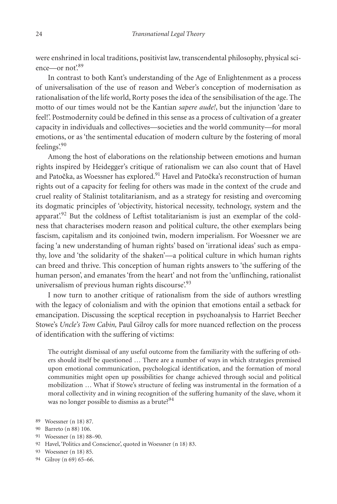were enshrined in local traditions, positivist law, transcendental philosophy, physical sci- $\text{encen}$  or not<sup>'89</sup>

In contrast to both Kant's understanding of the Age of Enlightenment as a process of universalisation of the use of reason and Weber's conception of modernisation as rationalisation of the life world, Rorty poses the idea of the sensibilisation of the age. The motto of our times would not be the Kantian *sapere aude!*, but the injunction 'dare to feel!'. Postmodernity could be defined in this sense as a process of cultivation of a greater capacity in individuals and collectives—societies and the world community—for moral emotions, or as 'the sentimental education of modern culture by the fostering of moral feelings'.<sup>90</sup>

Among the host of elaborations on the relationship between emotions and human rights inspired by Heidegger's critique of rationalism we can also count that of Havel and Patočka, as Woessner has explored.<sup>91</sup> Havel and Patočka's reconstruction of human rights out of a capacity for feeling for others was made in the context of the crude and cruel reality of Stalinist totalitarianism, and as a strategy for resisting and overcoming its dogmatic principles of 'objectivity, historical necessity, technology, system and the apparat'.<sup>92</sup> But the coldness of Leftist totalitarianism is just an exemplar of the coldness that characterises modern reason and political culture, the other exemplars being fascism, capitalism and its conjoined twin, modern imperialism. For Woessner we are facing 'a new understanding of human rights' based on 'irrational ideas' such as empathy, love and 'the solidarity of the shaken'—a political culture in which human rights can breed and thrive. This conception of human rights answers to 'the suffering of the human person', and emanates 'from the heart' and not from the 'unflinching, rationalist universalism of previous human rights discourse.<sup>93</sup>

I now turn to another critique of rationalism from the side of authors wrestling with the legacy of colonialism and with the opinion that emotions entail a setback for emancipation. Discussing the sceptical reception in psychoanalysis to Harriet Beecher Stowe's *Uncle's Tom Cabin,* Paul Gilroy calls for more nuanced reflection on the process of identification with the suffering of victims:

The outright dismissal of any useful outcome from the familiarity with the suffering of others should itself be questioned … There are a number of ways in which strategies premised upon emotional communication, psychological identification, and the formation of moral communities might open up possibilities for change achieved through social and political mobilization … What if Stowe's structure of feeling was instrumental in the formation of a moral collectivity and in wining recognition of the suffering humanity of the slave, whom it was no longer possible to dismiss as a brute?<sup>94</sup>

- 90 Barreto (n 88) 106.
- 91 Woessner (n 18) 88–90.
- 92 Havel, 'Politics and Conscience', quoted in Woessner (n 18) 83.
- 93 Woessner (n 18) 85.
- 94 Gilroy (n 69) 65–66.

<sup>89</sup> Woessner (n 18) 87.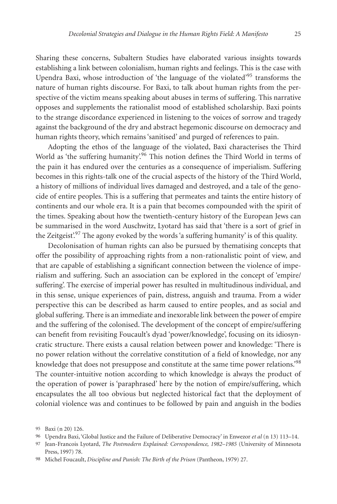Sharing these concerns, Subaltern Studies have elaborated various insights towards establishing a link between colonialism, human rights and feelings. This is the case with Upendra Baxi, whose introduction of 'the language of the violated'95 transforms the nature of human rights discourse. For Baxi, to talk about human rights from the perspective of the victim means speaking about abuses in terms of suffering. This narrative opposes and supplements the rationalist mood of established scholarship. Baxi points to the strange discordance experienced in listening to the voices of sorrow and tragedy against the background of the dry and abstract hegemonic discourse on democracy and human rights theory, which remains 'sanitised' and purged of references to pain.

Adopting the ethos of the language of the violated, Baxi characterises the Third World as 'the suffering humanity'.<sup>96</sup> This notion defines the Third World in terms of the pain it has endured over the centuries as a consequence of imperialism. Suffering becomes in this rights-talk one of the crucial aspects of the history of the Third World, a history of millions of individual lives damaged and destroyed, and a tale of the genocide of entire peoples. This is a suffering that permeates and taints the entire history of continents and our whole era. It is a pain that becomes compounded with the spirit of the times. Speaking about how the twentieth-century history of the European Jews can be summarised in the word Auschwitz, Lyotard has said that 'there is a sort of grief in the Zeitgeist.<sup>97</sup> The agony evoked by the words 'a suffering humanity' is of this quality.

Decolonisation of human rights can also be pursued by thematising concepts that offer the possibility of approaching rights from a non-rationalistic point of view, and that are capable of establishing a significant connection between the violence of imperialism and suffering. Such an association can be explored in the concept of 'empire/ suffering'. The exercise of imperial power has resulted in multitudinous individual, and in this sense, unique experiences of pain, distress, anguish and trauma. From a wider perspective this can be described as harm caused to entire peoples, and as social and global suffering. There is an immediate and inexorable link between the power of empire and the suffering of the colonised. The development of the concept of empire/suffering can benefit from revisiting Foucault's dyad 'power/knowledge', focusing on its idiosyncratic structure. There exists a causal relation between power and knowledge: 'There is no power relation without the correlative constitution of a field of knowledge, nor any knowledge that does not presuppose and constitute at the same time power relations.'<sup>98</sup> The counter-intuitive notion according to which knowledge is always the product of the operation of power is 'paraphrased' here by the notion of empire/suffering, which encapsulates the all too obvious but neglected historical fact that the deployment of colonial violence was and continues to be followed by pain and anguish in the bodies

<sup>95</sup> Baxi (n 20) 126.

<sup>96</sup> Upendra Baxi, 'Global Justice and the Failure of Deliberative Democracy' in Enwezor *et al* (n 13) 113–14.

<sup>97</sup> Jean-Francois Lyotard, *The Postmodern Explained: Correspondence, 1982–1985* (University of Minnesota Press, 1997) 78.

<sup>98</sup> Michel Foucault, *Discipline and Punish: The Birth of the Prison* (Pantheon, 1979) 27.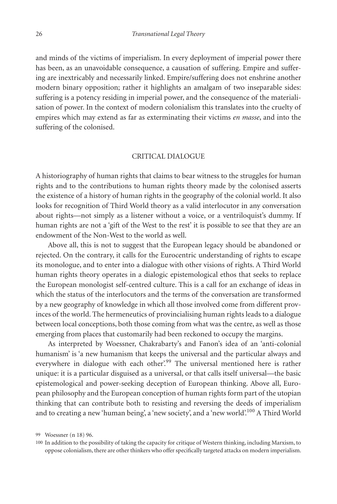and minds of the victims of imperialism. In every deployment of imperial power there has been, as an unavoidable consequence, a causation of suffering. Empire and suffering are inextricably and necessarily linked. Empire/suffering does not enshrine another modern binary opposition; rather it highlights an amalgam of two inseparable sides: suffering is a potency residing in imperial power, and the consequence of the materialisation of power. In the context of modern colonialism this translates into the cruelty of empires which may extend as far as exterminating their victims *en masse*, and into the suffering of the colonised.

#### CRITICAL DIALOGUE

A historiography of human rights that claims to bear witness to the struggles for human rights and to the contributions to human rights theory made by the colonised asserts the existence of a history of human rights in the geography of the colonial world. It also looks for recognition of Third World theory as a valid interlocutor in any conversation about rights—not simply as a listener without a voice, or a ventriloquist's dummy. If human rights are not a 'gift of the West to the rest' it is possible to see that they are an endowment of the Non-West to the world as well.

Above all, this is not to suggest that the European legacy should be abandoned or rejected. On the contrary, it calls for the Eurocentric understanding of rights to escape its monologue, and to enter into a dialogue with other visions of rights. A Third World human rights theory operates in a dialogic epistemological ethos that seeks to replace the European monologist self-centred culture. This is a call for an exchange of ideas in which the status of the interlocutors and the terms of the conversation are transformed by a new geography of knowledge in which all those involved come from different provinces of the world. The hermeneutics of provincialising human rights leads to a dialogue between local conceptions, both those coming from what was the centre, as well as those emerging from places that customarily had been reckoned to occupy the margins.

As interpreted by Woessner, Chakrabarty's and Fanon's idea of an 'anti-colonial humanism' is 'a new humanism that keeps the universal and the particular always and everywhere in dialogue with each other'.<sup>99</sup> The universal mentioned here is rather unique: it is a particular disguised as a universal, or that calls itself universal—the basic epistemological and power-seeking deception of European thinking. Above all, European philosophy and the European conception of human rights form part of the utopian thinking that can contribute both to resisting and reversing the deeds of imperialism and to creating a new 'human being', a 'new society', and a 'new world'.100 A Third World

<sup>99</sup> Woessner (n 18) 96.

<sup>100</sup> In addition to the possibility of taking the capacity for critique of Western thinking, including Marxism, to oppose colonialism, there are other thinkers who offer specifically targeted attacks on modern imperialism.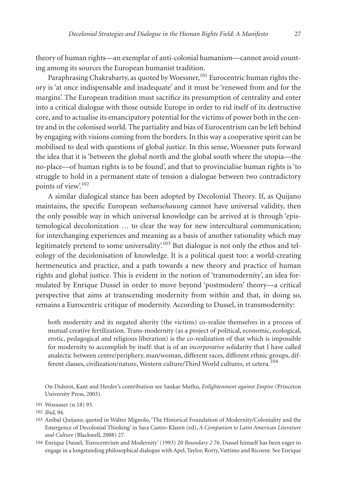theory of human rights—an exemplar of anti-colonial humanism—cannot avoid counting among its sources the European humanist tradition.

Paraphrasing Chakrabarty, as quoted by Woessner,<sup>101</sup> Eurocentric human rights theory is 'at once indispensable and inadequate' and it must be 'renewed from and for the margins'. The European tradition must sacrifice its presumption of centrality and enter into a critical dialogue with those outside Europe in order to rid itself of its destructive core, and to actualise its emancipatory potential for the victims of power both in the centre and in the colonised world. The partiality and bias of Eurocentrism can be left behind by engaging with visions coming from the borders. In this way a cooperative spirit can be mobilised to deal with questions of global justice. In this sense, Woessner puts forward the idea that it is 'between the global north and the global south where the utopia—the no-place—of human rights is to be found', and that to provincialise human rights is 'to struggle to hold in a permanent state of tension a dialogue between two contradictory points of view'.<sup>102</sup>

A similar dialogical stance has been adopted by Decolonial Theory. If, as Quijano maintains, the specific European *weltanschauung* cannot have universal validity, then the only possible way in which universal knowledge can be arrived at is through 'epistemological decolonization … to clear the way for new intercultural communication; for interchanging experiences and meaning as a basis of another rationality which may legitimately pretend to some universality.<sup>103</sup> But dialogue is not only the ethos and teleology of the decolonisation of knowledge. It is a political quest too: a world-creating hermeneutics and practice, and a path towards a new theory and practice of human rights and global justice. This is evident in the notion of 'transmodernity', an idea formulated by Enrique Dussel in order to move beyond 'postmodern' theory—a critical perspective that aims at transcending modernity from within and that, in doing so, remains a Eurocentric critique of modernity. According to Dussel, in transmodernity:

both modernity and its negated alterity (the victims) co-realize themselves in a process of mutual creative fertilization. Trans-modernity (as a project of political, economic, ecological, erotic, pedagogical and religious liberation) is the co-realization of that which is impossible for modernity to accomplish by itself: that is of an *incorporative* solidarity that I have called analectic between centre/periphery, man/woman, different races, different ethnic groups, different classes, civilization/nature, Western culture/Third World cultures, et cetera.<sup>104</sup>

On Diderot, Kant and Herder's contribution see Sankar Muthu, *Enlightenment against Empire* (Princeton University Press, 2003).

101 Woessner (n 18) 93.

- 103 Anibal Quijano, quoted in Walter Mignolo, 'The Historical Foundation of Modernity/Coloniality and the Emergence of Decolonial Thinking' in Sara Castro-Klaren (ed), *A Companion to Latin American Literature and Culture* (Blackwell, 2008) 27.
- 104 Enrique Dussel, 'Eurocentrism and Modernity' (1993) 20 *Boundary 2* 76. Dussel himself has been eager to engage in a longstanding philosophical dialogue with Apel, Taylor, Rorty, Vattimo and Ricoeur. See Enrique

<sup>102</sup> *Ibid*, 94.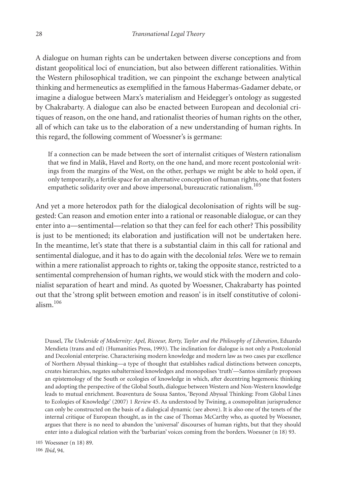A dialogue on human rights can be undertaken between diverse conceptions and from distant geopolitical loci of enunciation, but also between different rationalities. Within the Western philosophical tradition, we can pinpoint the exchange between analytical thinking and hermeneutics as exemplified in the famous Habermas-Gadamer debate, or imagine a dialogue between Marx's materialism and Heidegger's ontology as suggested by Chakrabarty. A dialogue can also be enacted between European and decolonial critiques of reason, on the one hand, and rationalist theories of human rights on the other, all of which can take us to the elaboration of a new understanding of human rights. In this regard, the following comment of Woessner's is germane:

If a connection can be made between the sort of internalist critiques of Western rationalism that we find in Malik, Havel and Rorty, on the one hand, and more recent postcolonial writings from the margins of the West, on the other, perhaps we might be able to hold open, if only temporarily, a fertile space for an alternative conception of human rights, one that fosters empathetic solidarity over and above impersonal, bureaucratic rationalism.<sup>105</sup>

And yet a more heterodox path for the dialogical decolonisation of rights will be suggested: Can reason and emotion enter into a rational or reasonable dialogue, or can they enter into a—sentimental—relation so that they can feel for each other? This possibility is just to be mentioned; its elaboration and justification will not be undertaken here. In the meantime, let's state that there is a substantial claim in this call for rational and sentimental dialogue, and it has to do again with the decolonial *telos.* Were we to remain within a mere rationalist approach to rights or, taking the opposite stance, restricted to a sentimental comprehension of human rights, we would stick with the modern and colonialist separation of heart and mind. As quoted by Woessner, Chakrabarty has pointed out that the 'strong split between emotion and reason' is in itself constitutive of colonialism $106$ 

Dussel, *The Underside of Modernity: Apel, Ricoeur, Rorty, Taylor and the Philosophy of Liberation*, Eduardo Mendieta (trans and ed) (Humanities Press, 1993). The inclination for dialogue is not only a Postcolonial and Decolonial enterprise. Characterising modern knowledge and modern law as two cases par excellence of Northern Abyssal thinking—a type of thought that establishes radical distinctions between concepts, creates hierarchies, negates subalternised knowledges and monopolises 'truth'—Santos similarly proposes an epistemology of the South or ecologies of knowledge in which, after decentring hegemonic thinking and adopting the perspective of the Global South, dialogue between Western and Non-Western knowledge leads to mutual enrichment. Boaventura de Sousa Santos, 'Beyond Abyssal Thinking: From Global Lines to Ecologies of Knowledge' (2007) 1 *Review* 45. As understood by Twining, a cosmopolitan jurisprudence can only be constructed on the basis of a dialogical dynamic (see above). It is also one of the tenets of the internal critique of European thought, as in the case of Thomas McCarthy who, as quoted by Woessner, argues that there is no need to abandon the 'universal' discourses of human rights, but that they should enter into a dialogical relation with the 'barbarian' voices coming from the borders. Woessner (n 18) 93.

105 Woessner (n 18) 89.

106 *Ibid*, 94.